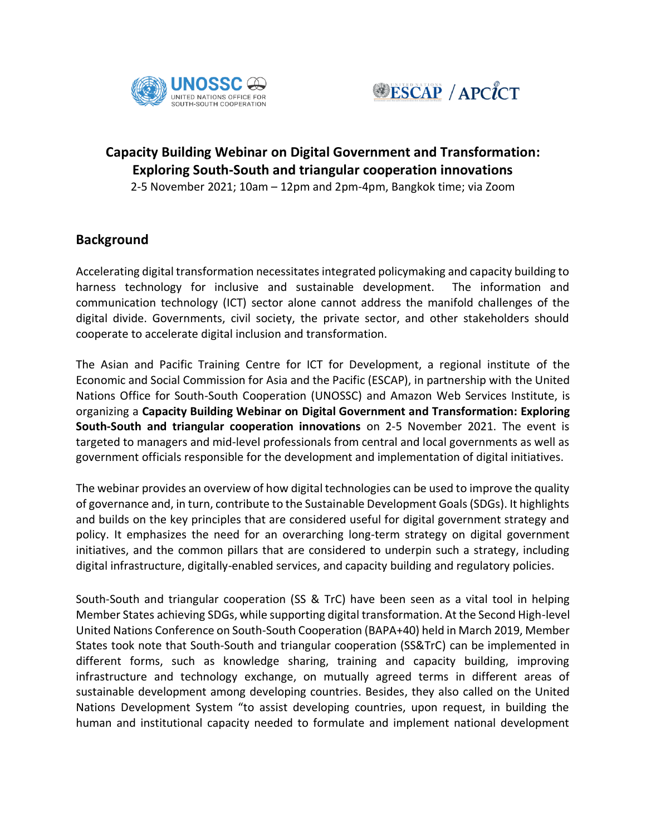



# **Capacity Building Webinar on Digital Government and Transformation: Exploring South-South and triangular cooperation innovations**

2-5 November 2021; 10am – 12pm and 2pm-4pm, Bangkok time; via Zoom

### **Background**

Accelerating digital transformation necessitates integrated policymaking and capacity building to harness technology for inclusive and sustainable development. The information and communication technology (ICT) sector alone cannot address the manifold challenges of the digital divide. Governments, civil society, the private sector, and other stakeholders should cooperate to accelerate digital inclusion and transformation.

The Asian and Pacific Training Centre for ICT for Development, a regional institute of the Economic and Social Commission for Asia and the Pacific (ESCAP), in partnership with the United Nations Office for South-South Cooperation (UNOSSC) and Amazon Web Services Institute, is organizing a **Capacity Building Webinar on Digital Government and Transformation: Exploring South-South and triangular cooperation innovations** on 2-5 November 2021. The event is targeted to managers and mid-level professionals from central and local governments as well as government officials responsible for the development and implementation of digital initiatives.

The webinar provides an overview of how digital technologies can be used to improve the quality of governance and, in turn, contribute to the Sustainable Development Goals (SDGs). It highlights and builds on the key principles that are considered useful for digital government strategy and policy. It emphasizes the need for an overarching long-term strategy on digital government initiatives, and the common pillars that are considered to underpin such a strategy, including digital infrastructure, digitally-enabled services, and capacity building and regulatory policies.

South-South and triangular cooperation (SS & TrC) have been seen as a vital tool in helping Member States achieving SDGs, while supporting digital transformation. At the Second High-level United Nations Conference on South-South Cooperation (BAPA+40) held in March 2019, Member States took note that South-South and triangular cooperation (SS&TrC) can be implemented in different forms, such as knowledge sharing, training and capacity building, improving infrastructure and technology exchange, on mutually agreed terms in different areas of sustainable development among developing countries. Besides, they also called on the United Nations Development System "to assist developing countries, upon request, in building the human and institutional capacity needed to formulate and implement national development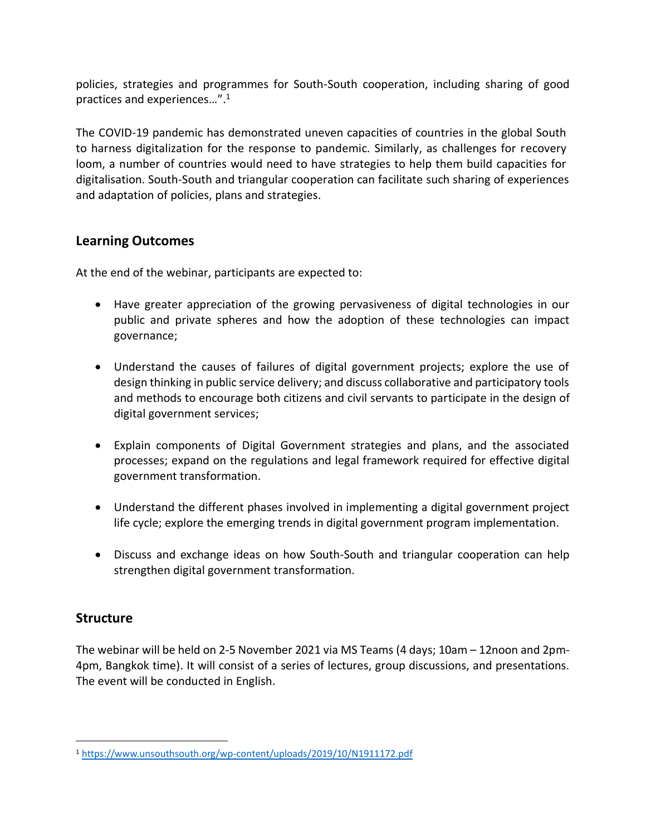policies, strategies and programmes for South-South cooperation, including sharing of good practices and experiences…". 1

The COVID-19 pandemic has demonstrated uneven capacities of countries in the global South to harness digitalization for the response to pandemic. Similarly, as challenges for recovery loom, a number of countries would need to have strategies to help them build capacities for digitalisation. South-South and triangular cooperation can facilitate such sharing of experiences and adaptation of policies, plans and strategies.

#### **Learning Outcomes**

At the end of the webinar, participants are expected to:

- Have greater appreciation of the growing pervasiveness of digital technologies in our public and private spheres and how the adoption of these technologies can impact governance;
- Understand the causes of failures of digital government projects; explore the use of design thinking in public service delivery; and discuss collaborative and participatory tools and methods to encourage both citizens and civil servants to participate in the design of digital government services;
- Explain components of Digital Government strategies and plans, and the associated processes; expand on the regulations and legal framework required for effective digital government transformation.
- Understand the different phases involved in implementing a digital government project life cycle; explore the emerging trends in digital government program implementation.
- Discuss and exchange ideas on how South-South and triangular cooperation can help strengthen digital government transformation.

#### **Structure**

The webinar will be held on 2-5 November 2021 via MS Teams (4 days; 10am – 12noon and 2pm-4pm, Bangkok time). It will consist of a series of lectures, group discussions, and presentations. The event will be conducted in English.

<sup>1</sup> <https://www.unsouthsouth.org/wp-content/uploads/2019/10/N1911172.pdf>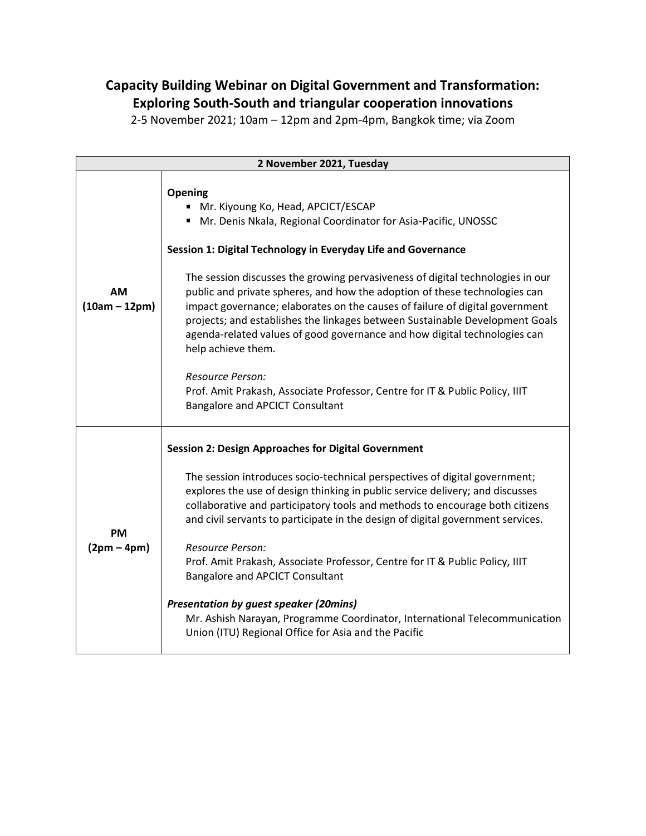## **Capacity Building Webinar on Digital Government and Transformation: Exploring South-South and triangular cooperation innovations**

2-5 November 2021; 10am – 12pm and 2pm-4pm, Bangkok time; via Zoom

| 2 November 2021, Tuesday |                                                                                                                                                                                                                                                                                                                                                                                                                                                                                                                                                                                                                                                                                                                                                                       |  |
|--------------------------|-----------------------------------------------------------------------------------------------------------------------------------------------------------------------------------------------------------------------------------------------------------------------------------------------------------------------------------------------------------------------------------------------------------------------------------------------------------------------------------------------------------------------------------------------------------------------------------------------------------------------------------------------------------------------------------------------------------------------------------------------------------------------|--|
| AM<br>$(10am - 12pm)$    | Opening<br>• Mr. Kiyoung Ko, Head, APCICT/ESCAP<br>" Mr. Denis Nkala, Regional Coordinator for Asia-Pacific, UNOSSC<br>Session 1: Digital Technology in Everyday Life and Governance<br>The session discusses the growing pervasiveness of digital technologies in our<br>public and private spheres, and how the adoption of these technologies can<br>impact governance; elaborates on the causes of failure of digital government<br>projects; and establishes the linkages between Sustainable Development Goals<br>agenda-related values of good governance and how digital technologies can<br>help achieve them.<br>Resource Person:<br>Prof. Amit Prakash, Associate Professor, Centre for IT & Public Policy, IIIT<br><b>Bangalore and APCICT Consultant</b> |  |
| <b>PM</b><br>$(2pm-4pm)$ | <b>Session 2: Design Approaches for Digital Government</b><br>The session introduces socio-technical perspectives of digital government;<br>explores the use of design thinking in public service delivery; and discusses<br>collaborative and participatory tools and methods to encourage both citizens<br>and civil servants to participate in the design of digital government services.<br>Resource Person:<br>Prof. Amit Prakash, Associate Professor, Centre for IT & Public Policy, IIIT<br>Bangalore and APCICT Consultant<br><b>Presentation by guest speaker (20mins)</b><br>Mr. Ashish Narayan, Programme Coordinator, International Telecommunication<br>Union (ITU) Regional Office for Asia and the Pacific                                            |  |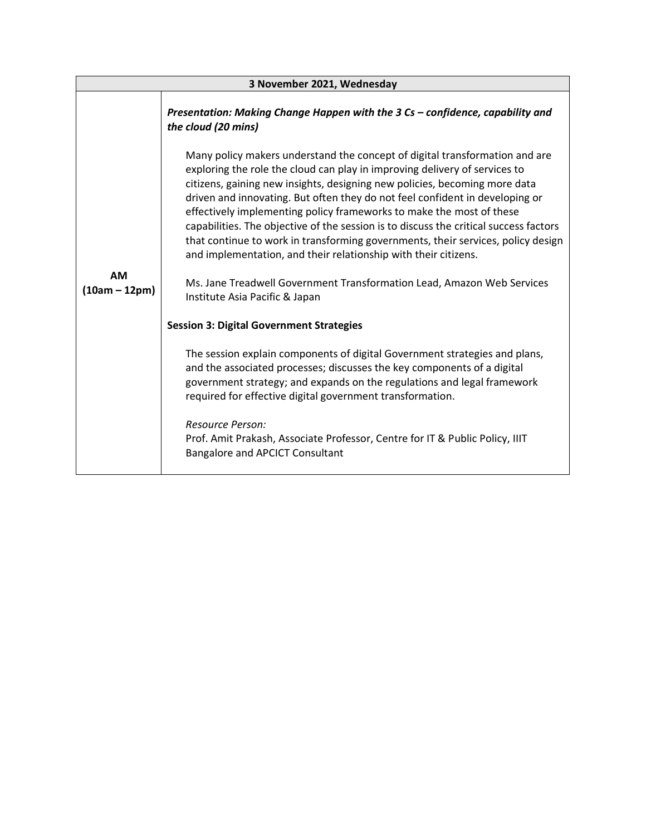| 3 November 2021, Wednesday   |                                                                                                                                                                                                                                                                                                                                                                                                                                                                                                                                                                                                                                                                                                                                                             |  |
|------------------------------|-------------------------------------------------------------------------------------------------------------------------------------------------------------------------------------------------------------------------------------------------------------------------------------------------------------------------------------------------------------------------------------------------------------------------------------------------------------------------------------------------------------------------------------------------------------------------------------------------------------------------------------------------------------------------------------------------------------------------------------------------------------|--|
|                              | Presentation: Making Change Happen with the 3 Cs - confidence, capability and<br>the cloud (20 mins)                                                                                                                                                                                                                                                                                                                                                                                                                                                                                                                                                                                                                                                        |  |
| <b>AM</b><br>$(10am - 12pm)$ | Many policy makers understand the concept of digital transformation and are<br>exploring the role the cloud can play in improving delivery of services to<br>citizens, gaining new insights, designing new policies, becoming more data<br>driven and innovating. But often they do not feel confident in developing or<br>effectively implementing policy frameworks to make the most of these<br>capabilities. The objective of the session is to discuss the critical success factors<br>that continue to work in transforming governments, their services, policy design<br>and implementation, and their relationship with their citizens.<br>Ms. Jane Treadwell Government Transformation Lead, Amazon Web Services<br>Institute Asia Pacific & Japan |  |
|                              | <b>Session 3: Digital Government Strategies</b>                                                                                                                                                                                                                                                                                                                                                                                                                                                                                                                                                                                                                                                                                                             |  |
|                              | The session explain components of digital Government strategies and plans,<br>and the associated processes; discusses the key components of a digital<br>government strategy; and expands on the regulations and legal framework<br>required for effective digital government transformation.                                                                                                                                                                                                                                                                                                                                                                                                                                                               |  |
|                              | Resource Person:<br>Prof. Amit Prakash, Associate Professor, Centre for IT & Public Policy, IIIT<br><b>Bangalore and APCICT Consultant</b>                                                                                                                                                                                                                                                                                                                                                                                                                                                                                                                                                                                                                  |  |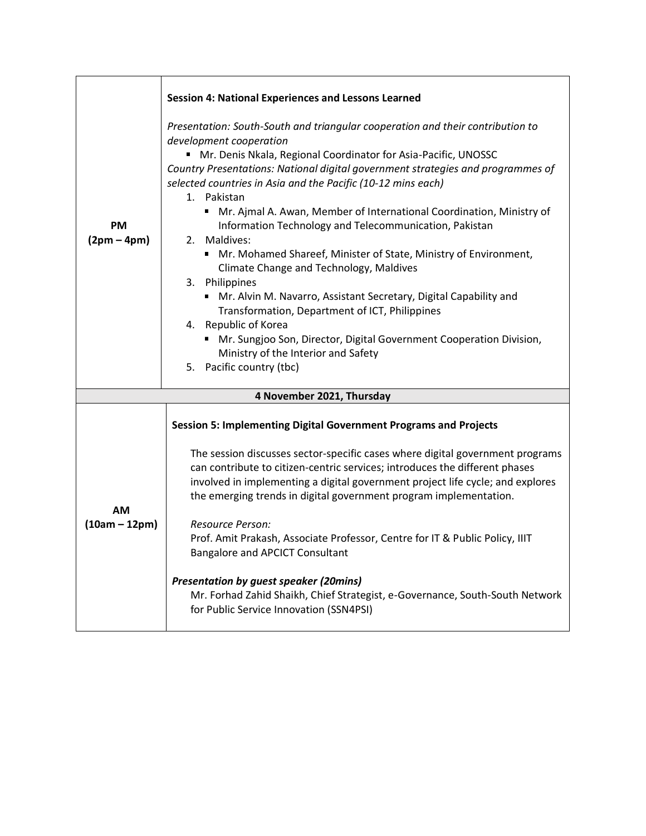|                       | <b>Session 4: National Experiences and Lessons Learned</b>                                                                                                                                                                                                                                                                                                                                                                |
|-----------------------|---------------------------------------------------------------------------------------------------------------------------------------------------------------------------------------------------------------------------------------------------------------------------------------------------------------------------------------------------------------------------------------------------------------------------|
| PМ<br>$(2pm-4pm)$     | Presentation: South-South and triangular cooperation and their contribution to<br>development cooperation<br>" Mr. Denis Nkala, Regional Coordinator for Asia-Pacific, UNOSSC<br>Country Presentations: National digital government strategies and programmes of<br>selected countries in Asia and the Pacific (10-12 mins each)<br>1. Pakistan<br>■ Mr. Ajmal A. Awan, Member of International Coordination, Ministry of |
|                       | Information Technology and Telecommunication, Pakistan<br>2. Maldives:<br>■ Mr. Mohamed Shareef, Minister of State, Ministry of Environment,<br>Climate Change and Technology, Maldives<br>3. Philippines<br>■ Mr. Alvin M. Navarro, Assistant Secretary, Digital Capability and                                                                                                                                          |
|                       | Transformation, Department of ICT, Philippines<br>4. Republic of Korea<br>■ Mr. Sungjoo Son, Director, Digital Government Cooperation Division,<br>Ministry of the Interior and Safety<br>5. Pacific country (tbc)                                                                                                                                                                                                        |
|                       | 4 November 2021, Thursday                                                                                                                                                                                                                                                                                                                                                                                                 |
| AМ<br>$(10am - 12pm)$ | <b>Session 5: Implementing Digital Government Programs and Projects</b>                                                                                                                                                                                                                                                                                                                                                   |
|                       | The session discusses sector-specific cases where digital government programs<br>can contribute to citizen-centric services; introduces the different phases<br>involved in implementing a digital government project life cycle; and explores<br>the emerging trends in digital government program implementation.<br>Resource Person:<br>Prof. Amit Prakash, Associate Professor, Centre for IT & Public Policy, IIIT   |
|                       | Bangalore and APCICT Consultant<br><b>Presentation by guest speaker (20mins)</b><br>Mr. Forhad Zahid Shaikh, Chief Strategist, e-Governance, South-South Network<br>for Public Service Innovation (SSN4PSI)                                                                                                                                                                                                               |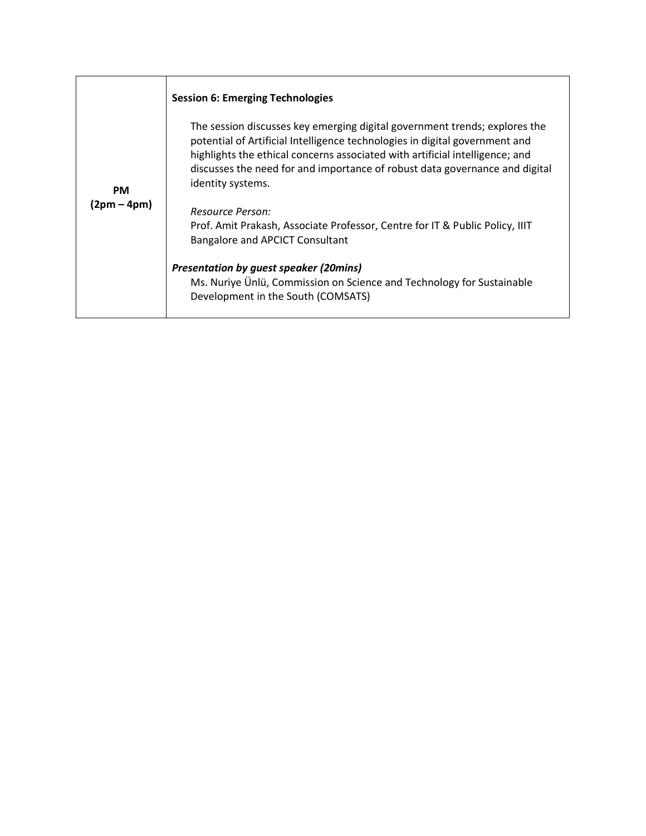|                          | <b>Session 6: Emerging Technologies</b>                                                                                                                                                                                                                                                                                                       |
|--------------------------|-----------------------------------------------------------------------------------------------------------------------------------------------------------------------------------------------------------------------------------------------------------------------------------------------------------------------------------------------|
| <b>PM</b><br>(2pm – 4pm) | The session discusses key emerging digital government trends; explores the<br>potential of Artificial Intelligence technologies in digital government and<br>highlights the ethical concerns associated with artificial intelligence; and<br>discusses the need for and importance of robust data governance and digital<br>identity systems. |
|                          | Resource Person:<br>Prof. Amit Prakash, Associate Professor, Centre for IT & Public Policy, IIIT<br>Bangalore and APCICT Consultant                                                                                                                                                                                                           |
|                          | <b>Presentation by guest speaker (20mins)</b><br>Ms. Nuriye Ünlü, Commission on Science and Technology for Sustainable<br>Development in the South (COMSATS)                                                                                                                                                                                  |